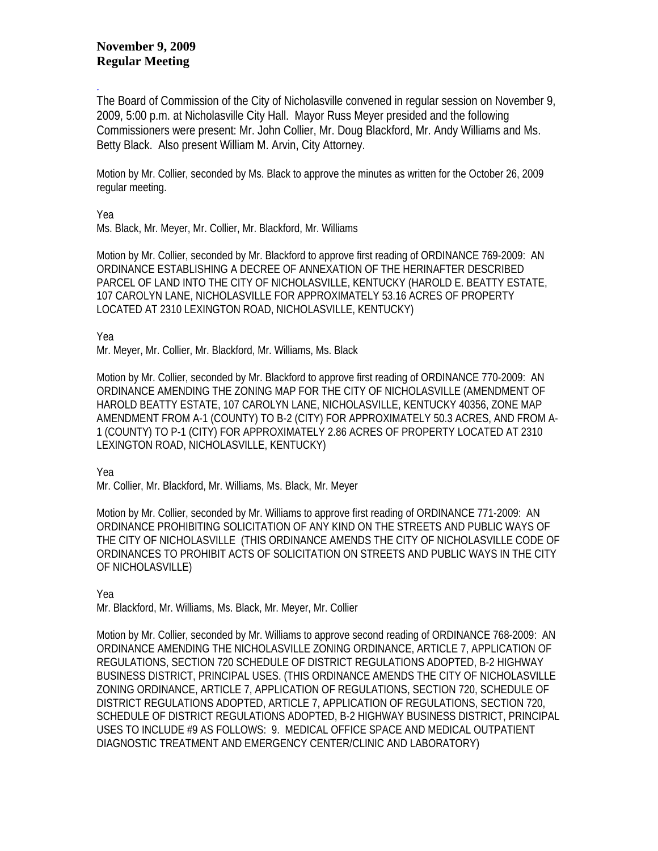## **November 9, 2009 Regular Meeting**

The Board of Commission of the City of Nicholasville convened in regular session on November 9, 2009, 5:00 p.m. at Nicholasville City Hall. Mayor Russ Meyer presided and the following Commissioners were present: Mr. John Collier, Mr. Doug Blackford, Mr. Andy Williams and Ms. Betty Black. Also present William M. Arvin, City Attorney.

Motion by Mr. Collier, seconded by Ms. Black to approve the minutes as written for the October 26, 2009 regular meeting.

Yea

.

Ms. Black, Mr. Meyer, Mr. Collier, Mr. Blackford, Mr. Williams

Motion by Mr. Collier, seconded by Mr. Blackford to approve first reading of ORDINANCE 769-2009: AN ORDINANCE ESTABLISHING A DECREE OF ANNEXATION OF THE HERINAFTER DESCRIBED PARCEL OF LAND INTO THE CITY OF NICHOLASVILLE, KENTUCKY (HAROLD E. BEATTY ESTATE, 107 CAROLYN LANE, NICHOLASVILLE FOR APPROXIMATELY 53.16 ACRES OF PROPERTY LOCATED AT 2310 LEXINGTON ROAD, NICHOLASVILLE, KENTUCKY)

Yea

Mr. Meyer, Mr. Collier, Mr. Blackford, Mr. Williams, Ms. Black

Motion by Mr. Collier, seconded by Mr. Blackford to approve first reading of ORDINANCE 770-2009: AN ORDINANCE AMENDING THE ZONING MAP FOR THE CITY OF NICHOLASVILLE (AMENDMENT OF HAROLD BEATTY ESTATE, 107 CAROLYN LANE, NICHOLASVILLE, KENTUCKY 40356, ZONE MAP AMENDMENT FROM A-1 (COUNTY) TO B-2 (CITY) FOR APPROXIMATELY 50.3 ACRES, AND FROM A-1 (COUNTY) TO P-1 (CITY) FOR APPROXIMATELY 2.86 ACRES OF PROPERTY LOCATED AT 2310 LEXINGTON ROAD, NICHOLASVILLE, KENTUCKY)

Yea

Mr. Collier, Mr. Blackford, Mr. Williams, Ms. Black, Mr. Meyer

Motion by Mr. Collier, seconded by Mr. Williams to approve first reading of ORDINANCE 771-2009: AN ORDINANCE PROHIBITING SOLICITATION OF ANY KIND ON THE STREETS AND PUBLIC WAYS OF THE CITY OF NICHOLASVILLE (THIS ORDINANCE AMENDS THE CITY OF NICHOLASVILLE CODE OF ORDINANCES TO PROHIBIT ACTS OF SOLICITATION ON STREETS AND PUBLIC WAYS IN THE CITY OF NICHOLASVILLE)

Yea

Mr. Blackford, Mr. Williams, Ms. Black, Mr. Meyer, Mr. Collier

Motion by Mr. Collier, seconded by Mr. Williams to approve second reading of ORDINANCE 768-2009: AN ORDINANCE AMENDING THE NICHOLASVILLE ZONING ORDINANCE, ARTICLE 7, APPLICATION OF REGULATIONS, SECTION 720 SCHEDULE OF DISTRICT REGULATIONS ADOPTED, B-2 HIGHWAY BUSINESS DISTRICT, PRINCIPAL USES. (THIS ORDINANCE AMENDS THE CITY OF NICHOLASVILLE ZONING ORDINANCE, ARTICLE 7, APPLICATION OF REGULATIONS, SECTION 720, SCHEDULE OF DISTRICT REGULATIONS ADOPTED, ARTICLE 7, APPLICATION OF REGULATIONS, SECTION 720, SCHEDULE OF DISTRICT REGULATIONS ADOPTED, B-2 HIGHWAY BUSINESS DISTRICT, PRINCIPAL USES TO INCLUDE #9 AS FOLLOWS: 9. MEDICAL OFFICE SPACE AND MEDICAL OUTPATIENT DIAGNOSTIC TREATMENT AND EMERGENCY CENTER/CLINIC AND LABORATORY)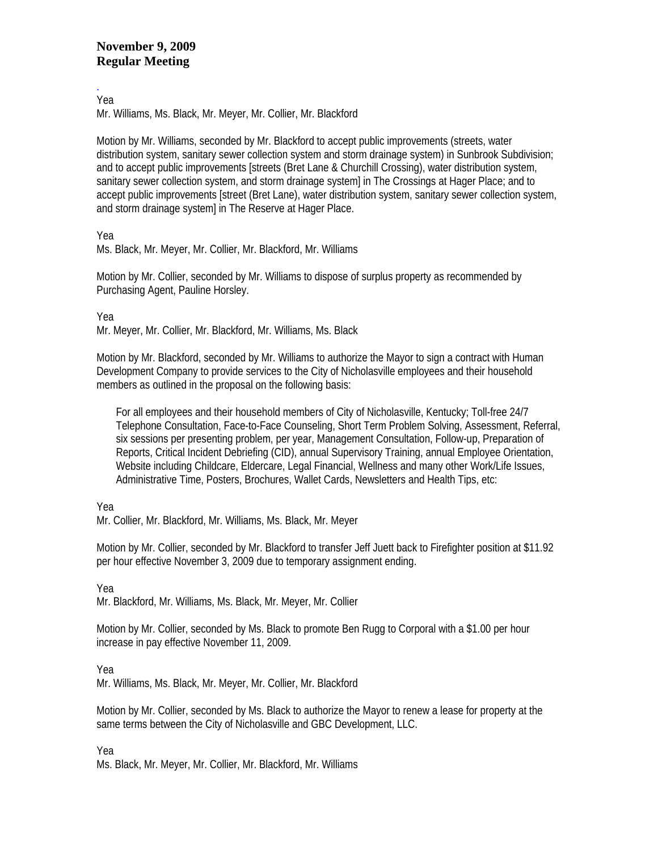## **November 9, 2009 Regular Meeting**

. Yea

Mr. Williams, Ms. Black, Mr. Meyer, Mr. Collier, Mr. Blackford

Motion by Mr. Williams, seconded by Mr. Blackford to accept public improvements (streets, water distribution system, sanitary sewer collection system and storm drainage system) in Sunbrook Subdivision; and to accept public improvements [streets (Bret Lane & Churchill Crossing), water distribution system, sanitary sewer collection system, and storm drainage system] in The Crossings at Hager Place; and to accept public improvements [street (Bret Lane), water distribution system, sanitary sewer collection system, and storm drainage system] in The Reserve at Hager Place.

Yea

Ms. Black, Mr. Meyer, Mr. Collier, Mr. Blackford, Mr. Williams

Motion by Mr. Collier, seconded by Mr. Williams to dispose of surplus property as recommended by Purchasing Agent, Pauline Horsley.

Yea

Mr. Meyer, Mr. Collier, Mr. Blackford, Mr. Williams, Ms. Black

Motion by Mr. Blackford, seconded by Mr. Williams to authorize the Mayor to sign a contract with Human Development Company to provide services to the City of Nicholasville employees and their household members as outlined in the proposal on the following basis:

For all employees and their household members of City of Nicholasville, Kentucky; Toll-free 24/7 Telephone Consultation, Face-to-Face Counseling, Short Term Problem Solving, Assessment, Referral, six sessions per presenting problem, per year, Management Consultation, Follow-up, Preparation of Reports, Critical Incident Debriefing (CID), annual Supervisory Training, annual Employee Orientation, Website including Childcare, Eldercare, Legal Financial, Wellness and many other Work/Life Issues, Administrative Time, Posters, Brochures, Wallet Cards, Newsletters and Health Tips, etc:

Yea

Mr. Collier, Mr. Blackford, Mr. Williams, Ms. Black, Mr. Meyer

Motion by Mr. Collier, seconded by Mr. Blackford to transfer Jeff Juett back to Firefighter position at \$11.92 per hour effective November 3, 2009 due to temporary assignment ending.

Yea

Mr. Blackford, Mr. Williams, Ms. Black, Mr. Meyer, Mr. Collier

Motion by Mr. Collier, seconded by Ms. Black to promote Ben Rugg to Corporal with a \$1.00 per hour increase in pay effective November 11, 2009.

Yea

Mr. Williams, Ms. Black, Mr. Meyer, Mr. Collier, Mr. Blackford

Motion by Mr. Collier, seconded by Ms. Black to authorize the Mayor to renew a lease for property at the same terms between the City of Nicholasville and GBC Development, LLC.

Yea

Ms. Black, Mr. Meyer, Mr. Collier, Mr. Blackford, Mr. Williams